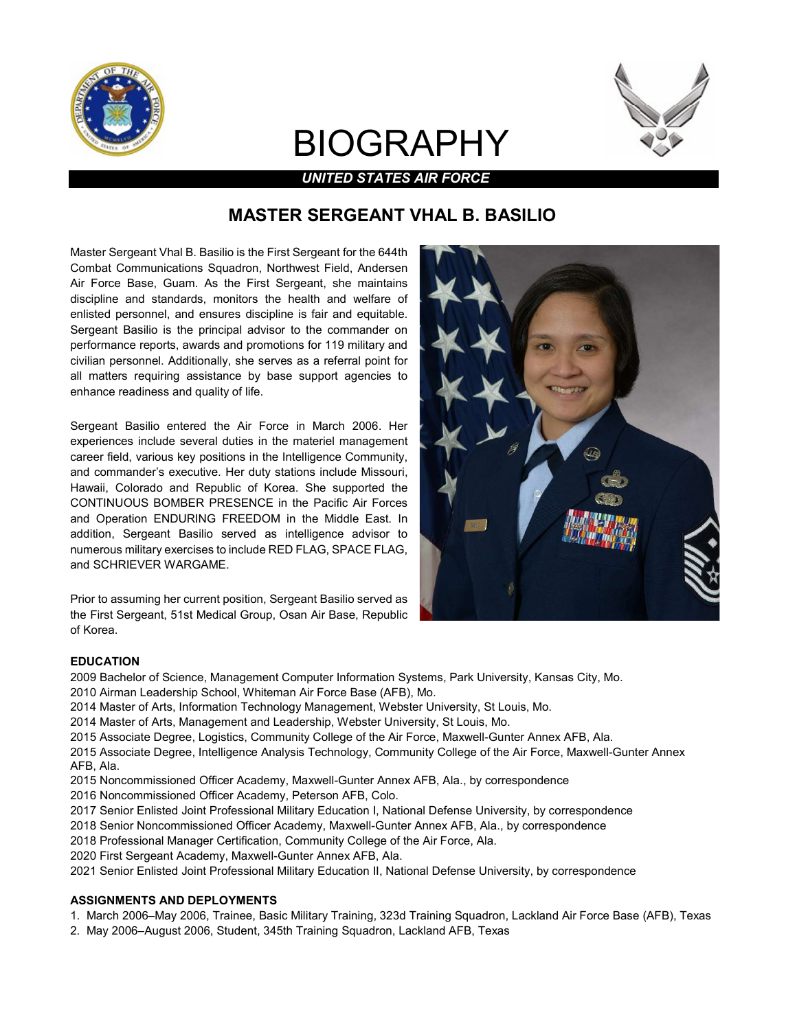

# BIOGRAPHY



UNITED STATES AIR FORCE

# MASTER SERGEANT VHAL B. BASILIO

Master Sergeant Vhal B. Basilio is the First Sergeant for the 644th Combat Communications Squadron, Northwest Field, Andersen Air Force Base, Guam. As the First Sergeant, she maintains discipline and standards, monitors the health and welfare of enlisted personnel, and ensures discipline is fair and equitable. Sergeant Basilio is the principal advisor to the commander on performance reports, awards and promotions for 119 military and civilian personnel. Additionally, she serves as a referral point for all matters requiring assistance by base support agencies to enhance readiness and quality of life.

Sergeant Basilio entered the Air Force in March 2006. Her experiences include several duties in the materiel management career field, various key positions in the Intelligence Community, and commander's executive. Her duty stations include Missouri, Hawaii, Colorado and Republic of Korea. She supported the CONTINUOUS BOMBER PRESENCE in the Pacific Air Forces and Operation ENDURING FREEDOM in the Middle East. In addition, Sergeant Basilio served as intelligence advisor to numerous military exercises to include RED FLAG, SPACE FLAG, and SCHRIEVER WARGAME.

Prior to assuming her current position, Sergeant Basilio served as the First Sergeant, 51st Medical Group, Osan Air Base, Republic of Korea.



#### EDUCATION

- 2009 Bachelor of Science, Management Computer Information Systems, Park University, Kansas City, Mo.
- 2010 Airman Leadership School, Whiteman Air Force Base (AFB), Mo.
- 2014 Master of Arts, Information Technology Management, Webster University, St Louis, Mo.
- 2014 Master of Arts, Management and Leadership, Webster University, St Louis, Mo.
- 2015 Associate Degree, Logistics, Community College of the Air Force, Maxwell-Gunter Annex AFB, Ala.
- 2015 Associate Degree, Intelligence Analysis Technology, Community College of the Air Force, Maxwell-Gunter Annex AFB, Ala.
- 2015 Noncommissioned Officer Academy, Maxwell-Gunter Annex AFB, Ala., by correspondence
- 2016 Noncommissioned Officer Academy, Peterson AFB, Colo.
- 2017 Senior Enlisted Joint Professional Military Education I, National Defense University, by correspondence
- 2018 Senior Noncommissioned Officer Academy, Maxwell-Gunter Annex AFB, Ala., by correspondence
- 2018 Professional Manager Certification, Community College of the Air Force, Ala.
- 2020 First Sergeant Academy, Maxwell-Gunter Annex AFB, Ala.
- 2021 Senior Enlisted Joint Professional Military Education II, National Defense University, by correspondence

#### ASSIGNMENTS AND DEPLOYMENTS

- 1. March 2006–May 2006, Trainee, Basic Military Training, 323d Training Squadron, Lackland Air Force Base (AFB), Texas
- 2. May 2006–August 2006, Student, 345th Training Squadron, Lackland AFB, Texas